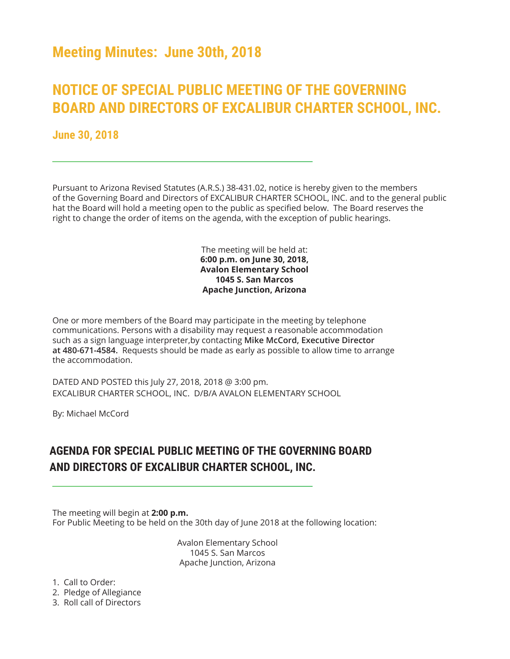## **Meeting Minutes: June 30th, 2018**

# **NOTICE OF SPECIAL PUBLIC MEETING OF THE GOVERNING BOARD AND DIRECTORS OF EXCALIBUR CHARTER SCHOOL, INC.**

**June 30, 2018**

Pursuant to Arizona Revised Statutes (A.R.S.) 38-431.02, notice is hereby given to the members of the Governing Board and Directors of EXCALIBUR CHARTER SCHOOL, INC. and to the general public hat the Board will hold a meeting open to the public as specified below. The Board reserves the right to change the order of items on the agenda, with the exception of public hearings.

#### The meeting will be held at: **6:00 p.m. on June 30, 2018, Avalon Elementary School 1045 S. San Marcos Apache Junction, Arizona**

One or more members of the Board may participate in the meeting by telephone communications. Persons with a disability may request a reasonable accommodation such as a sign language interpreter,by contacting **Mike McCord, Executive Director at 480-671-4584.** Requests should be made as early as possible to allow time to arrange the accommodation.

DATED AND POSTED this July 27, 2018, 2018 @ 3:00 pm. EXCALIBUR CHARTER SCHOOL, INC. D/B/A AVALON ELEMENTARY SCHOOL

By: Michael McCord

### **AGENDA FOR SPECIAL PUBLIC MEETING OF THE GOVERNING BOARD AND DIRECTORS OF EXCALIBUR CHARTER SCHOOL, INC.**

The meeting will begin at **2:00 p.m.** For Public Meeting to be held on the 30th day of June 2018 at the following location:

> Avalon Elementary School 1045 S. San Marcos Apache Junction, Arizona

1. Call to Order:

2. Pledge of Allegiance

3. Roll call of Directors